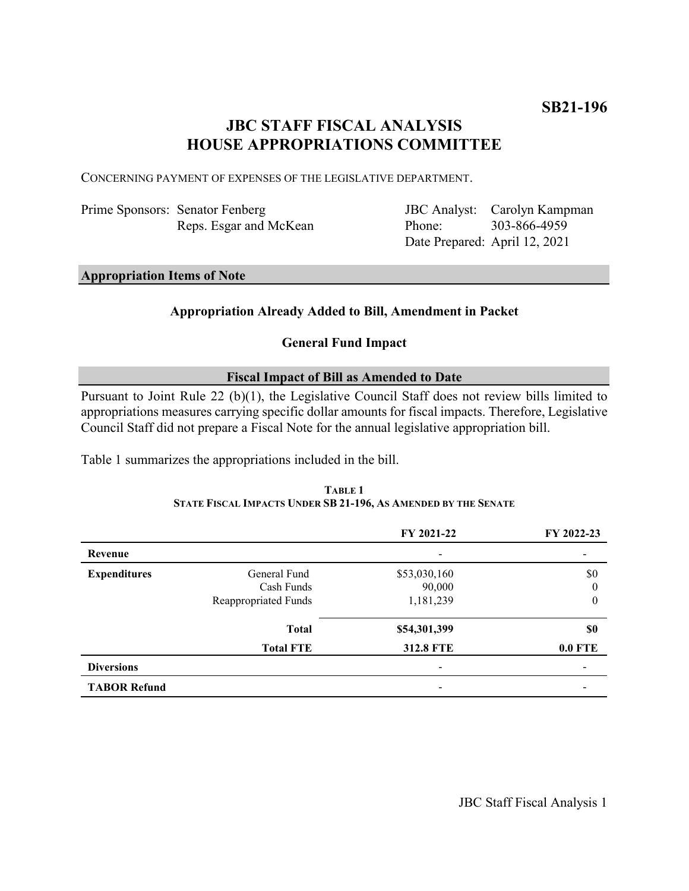# **JBC STAFF FISCAL ANALYSIS HOUSE APPROPRIATIONS COMMITTEE**

CONCERNING PAYMENT OF EXPENSES OF THE LEGISLATIVE DEPARTMENT.

| Prime Sponsors: Senator Fenberg |
|---------------------------------|
| Reps. Esgar and McKean          |

JBC Analyst: Carolyn Kampman Phone: Date Prepared: April 12, 2021 303-866-4959

## **Appropriation Items of Note**

## **Appropriation Already Added to Bill, Amendment in Packet**

## **General Fund Impact**

## **Fiscal Impact of Bill as Amended to Date**

Pursuant to Joint Rule 22 (b)(1), the Legislative Council Staff does not review bills limited to appropriations measures carrying specific dollar amounts for fiscal impacts. Therefore, Legislative Council Staff did not prepare a Fiscal Note for the annual legislative appropriation bill.

Table 1 summarizes the appropriations included in the bill.

|                     |                      | FY 2021-22       | FY 2022-23       |
|---------------------|----------------------|------------------|------------------|
| Revenue             |                      |                  |                  |
| <b>Expenditures</b> | General Fund         | \$53,030,160     | \$0              |
|                     | Cash Funds           | 90,000           | $\theta$         |
|                     | Reappropriated Funds | 1,181,239        | $\boldsymbol{0}$ |
|                     | <b>Total</b>         | \$54,301,399     | \$0              |
|                     | <b>Total FTE</b>     | <b>312.8 FTE</b> | <b>0.0 FTE</b>   |
| <b>Diversions</b>   |                      |                  |                  |
| <b>TABOR Refund</b> |                      |                  |                  |

### **TABLE 1 STATE FISCAL IMPACTS UNDER SB 21-196, AS AMENDED BY THE SENATE**